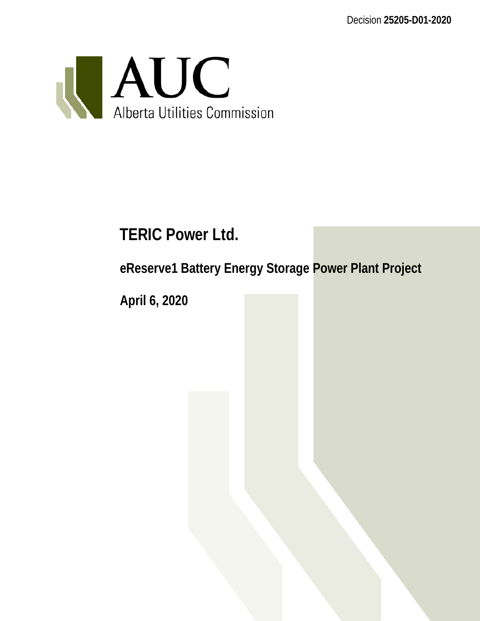Decision **25205-D01-2020**



# **TERIC Power Ltd.**

**eReserve1 Battery Energy Storage Power Plant Project**

**April 6, 2020**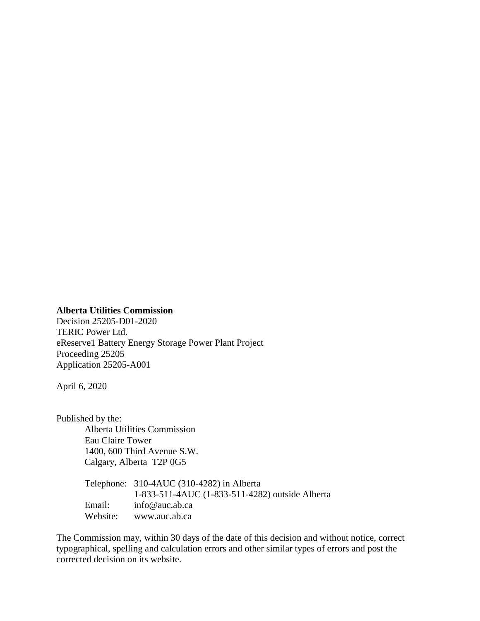#### **Alberta Utilities Commission**

Decision 25205-D01-2020 TERIC Power Ltd. eReserve1 Battery Energy Storage Power Plant Project Proceeding 25205 Application 25205-A001

April 6, 2020

Published by the: Alberta Utilities Commission Eau Claire Tower 1400, 600 Third Avenue S.W. Calgary, Alberta T2P 0G5

|          | Telephone: 310-4AUC (310-4282) in Alberta       |
|----------|-------------------------------------------------|
|          | 1-833-511-4AUC (1-833-511-4282) outside Alberta |
| Email:   | $info@$ auc.ab.ca                               |
| Website: | www.auc.ab.ca                                   |

The Commission may, within 30 days of the date of this decision and without notice, correct typographical, spelling and calculation errors and other similar types of errors and post the corrected decision on its website.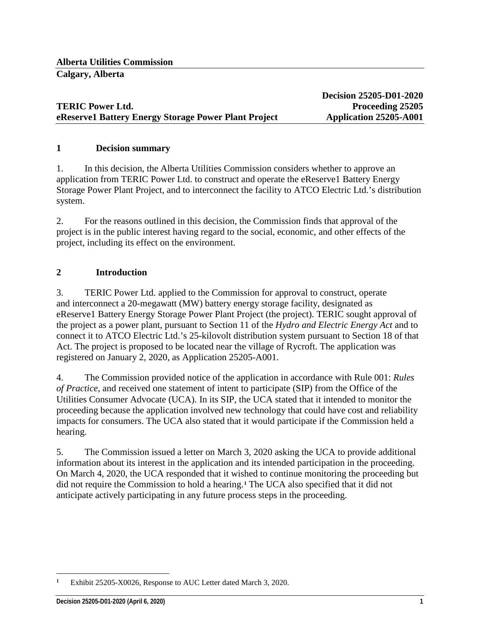## **TERIC Power Ltd. Proceeding 25205 eReserve1 Battery Energy Storage Power Plant Project** Application 25205-A001

**Decision 25205-D01-2020**

#### **1 Decision summary**

1. In this decision, the Alberta Utilities Commission considers whether to approve an application from TERIC Power Ltd. to construct and operate the eReserve1 Battery Energy Storage Power Plant Project, and to interconnect the facility to ATCO Electric Ltd.'s distribution system.

2. For the reasons outlined in this decision, the Commission finds that approval of the project is in the public interest having regard to the social, economic, and other effects of the project, including its effect on the environment.

#### **2 Introduction**

3. TERIC Power Ltd. applied to the Commission for approval to construct, operate and interconnect a 20-megawatt (MW) battery energy storage facility, designated as eReserve1 Battery Energy Storage Power Plant Project (the project). TERIC sought approval of the project as a power plant, pursuant to Section 11 of the *Hydro and Electric Energy Act* and to connect it to ATCO Electric Ltd.'s 25-kilovolt distribution system pursuant to Section 18 of that Act. The project is proposed to be located near the village of Rycroft. The application was registered on January 2, 2020, as Application 25205-A001.

4. The Commission provided notice of the application in accordance with Rule 001: *Rules of Practice*, and received one statement of intent to participate (SIP) from the Office of the Utilities Consumer Advocate (UCA). In its SIP, the UCA stated that it intended to monitor the proceeding because the application involved new technology that could have cost and reliability impacts for consumers. The UCA also stated that it would participate if the Commission held a hearing.

5. The Commission issued a letter on March 3, 2020 asking the UCA to provide additional information about its interest in the application and its intended participation in the proceeding. On March 4, 2020, the UCA responded that it wished to continue monitoring the proceeding but did not require the Commission to hold a hearing. **[1](#page-2-0)** The UCA also specified that it did not anticipate actively participating in any future process steps in the proceeding.

<span id="page-2-0"></span> $\overline{a}$ **<sup>1</sup>** Exhibit 25205-X0026, Response to AUC Letter dated March 3, 2020.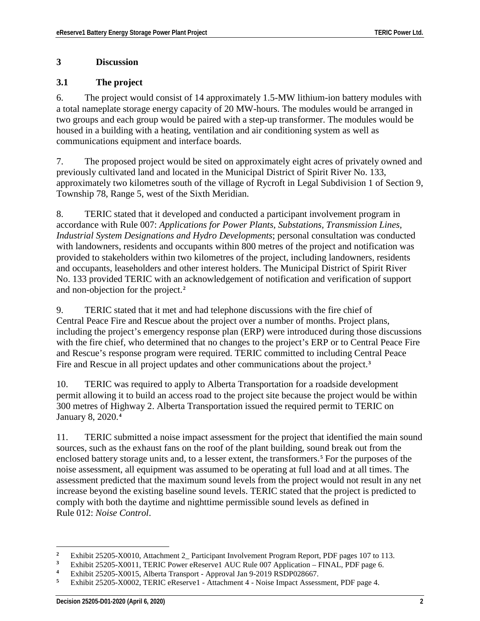#### **3 Discussion**

### **3.1 The project**

6. The project would consist of 14 approximately 1.5-MW lithium-ion battery modules with a total nameplate storage energy capacity of 20 MW-hours. The modules would be arranged in two groups and each group would be paired with a step-up transformer. The modules would be housed in a building with a heating, ventilation and air conditioning system as well as communications equipment and interface boards.

7. The proposed project would be sited on approximately eight acres of privately owned and previously cultivated land and located in the Municipal District of Spirit River No. 133, approximately two kilometres south of the village of Rycroft in Legal Subdivision 1 of Section 9, Township 78, Range 5, west of the Sixth Meridian.

8. TERIC stated that it developed and conducted a participant involvement program in accordance with Rule 007: *Applications for Power Plants, Substations, Transmission Lines, Industrial System Designations and Hydro Developments*; personal consultation was conducted with landowners, residents and occupants within 800 metres of the project and notification was provided to stakeholders within two kilometres of the project, including landowners, residents and occupants, leaseholders and other interest holders. The Municipal District of Spirit River No. 133 provided TERIC with an acknowledgement of notification and verification of support and non-objection for the project.**[2](#page-3-0)**

9. TERIC stated that it met and had telephone discussions with the fire chief of Central Peace Fire and Rescue about the project over a number of months. Project plans, including the project's emergency response plan (ERP) were introduced during those discussions with the fire chief, who determined that no changes to the project's ERP or to Central Peace Fire and Rescue's response program were required. TERIC committed to including Central Peace Fire and Rescue in all project updates and other communications about the project.**[3](#page-3-1)**

10. TERIC was required to apply to Alberta Transportation for a roadside development permit allowing it to build an access road to the project site because the project would be within 300 metres of Highway 2. Alberta Transportation issued the required permit to TERIC on January 8, 2020.**[4](#page-3-2)**

11. TERIC submitted a noise impact assessment for the project that identified the main sound sources, such as the exhaust fans on the roof of the plant building, sound break out from the enclosed battery storage units and, to a lesser extent, the transformers.**[5](#page-3-3)** For the purposes of the noise assessment, all equipment was assumed to be operating at full load and at all times. The assessment predicted that the maximum sound levels from the project would not result in any net increase beyond the existing baseline sound levels. TERIC stated that the project is predicted to comply with both the daytime and nighttime permissible sound levels as defined in Rule 012: *Noise Control*.

<span id="page-3-0"></span> $\overline{a}$ <sup>2</sup> Exhibit 25205-X0010, Attachment 2\_ Participant Involvement Program Report, PDF pages 107 to 113.<br><sup>3</sup> Exhibit 25205-X0011, TEBIC Power eBesegued AUC Puls 007 Application. EINAL PDF page 6.

<span id="page-3-1"></span><sup>&</sup>lt;sup>3</sup> Exhibit 25205-X0011, TERIC Power eReserve1 AUC Rule 007 Application – FINAL, PDF page 6.<br><sup>4</sup> Exhibit 25205-X0015, Alberta Transport, Approval Jan 0, 2010 BSDB028667

<span id="page-3-3"></span><span id="page-3-2"></span><sup>4</sup> Exhibit 25205-X0015, Alberta Transport - Approval Jan 9-2019 RSDP028667.<br>5 Exhibit 25205 Y0002 TERIC eReservel Attachment 4. Noise Impact Assess

**<sup>5</sup>** Exhibit 25205-X0002, TERIC eReserve1 - Attachment 4 - Noise Impact Assessment, PDF page 4.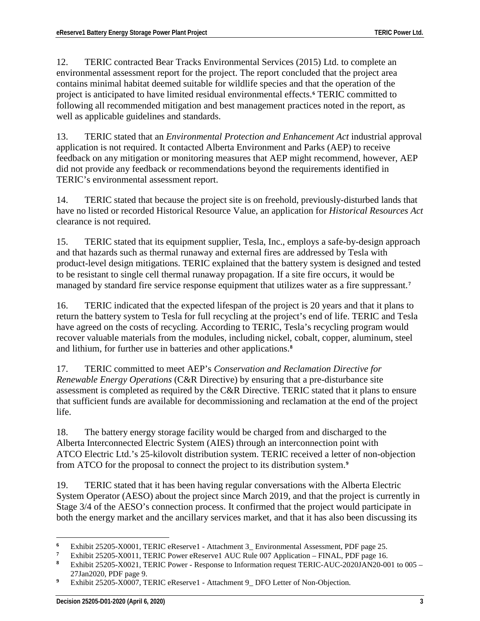12. TERIC contracted Bear Tracks Environmental Services (2015) Ltd. to complete an environmental assessment report for the project. The report concluded that the project area contains minimal habitat deemed suitable for wildlife species and that the operation of the project is anticipated to have limited residual environmental effects.**[6](#page-4-0)** TERIC committed to following all recommended mitigation and best management practices noted in the report, as well as applicable guidelines and standards.

13. TERIC stated that an *Environmental Protection and Enhancement Act* industrial approval application is not required. It contacted Alberta Environment and Parks (AEP) to receive feedback on any mitigation or monitoring measures that AEP might recommend, however, AEP did not provide any feedback or recommendations beyond the requirements identified in TERIC's environmental assessment report.

14. TERIC stated that because the project site is on freehold, previously-disturbed lands that have no listed or recorded Historical Resource Value, an application for *Historical Resources Act*  clearance is not required.

15. TERIC stated that its equipment supplier, Tesla, Inc., employs a safe-by-design approach and that hazards such as thermal runaway and external fires are addressed by Tesla with product-level design mitigations. TERIC explained that the battery system is designed and tested to be resistant to single cell thermal runaway propagation. If a site fire occurs, it would be managed by standard fire service response equipment that utilizes water as a fire suppressant.**[7](#page-4-1)**

16. TERIC indicated that the expected lifespan of the project is 20 years and that it plans to return the battery system to Tesla for full recycling at the project's end of life. TERIC and Tesla have agreed on the costs of recycling. According to TERIC, Tesla's recycling program would recover valuable materials from the modules, including nickel, cobalt, copper, aluminum, steel and lithium, for further use in batteries and other applications.**[8](#page-4-2)**

17. TERIC committed to meet AEP's *Conservation and Reclamation Directive for Renewable Energy Operations* (C&R Directive) by ensuring that a pre-disturbance site assessment is completed as required by the C&R Directive. TERIC stated that it plans to ensure that sufficient funds are available for decommissioning and reclamation at the end of the project life.

18. The battery energy storage facility would be charged from and discharged to the Alberta Interconnected Electric System (AIES) through an interconnection point with ATCO Electric Ltd.'s 25-kilovolt distribution system. TERIC received a letter of non-objection from ATCO for the proposal to connect the project to its distribution system.**[9](#page-4-3)**

19. TERIC stated that it has been having regular conversations with the Alberta Electric System Operator (AESO) about the project since March 2019, and that the project is currently in Stage 3/4 of the AESO's connection process. It confirmed that the project would participate in both the energy market and the ancillary services market, and that it has also been discussing its

 $\overline{a}$ **<sup>6</sup>** Exhibit 25205-X0001, TERIC eReserve1 - Attachment 3\_ Environmental Assessment, PDF page 25.

<span id="page-4-1"></span><span id="page-4-0"></span><sup>&</sup>lt;sup>7</sup> Exhibit 25205-X0011, TERIC Power eReserve1 AUC Rule 007 Application – FINAL, PDF page 16.<br><sup>8</sup> Exhibit 25205-X0021, TERIC Power, Besponse to Information request TERIC AUC 20201AN20.00

<span id="page-4-2"></span>**<sup>8</sup>** Exhibit 25205-X0021, TERIC Power - Response to Information request TERIC-AUC-2020JAN20-001 to 005 – 27Jan2020, PDF page 9.

<span id="page-4-3"></span>Exhibit 25205-X0007, TERIC eReserve1 - Attachment 9\_DFO Letter of Non-Objection.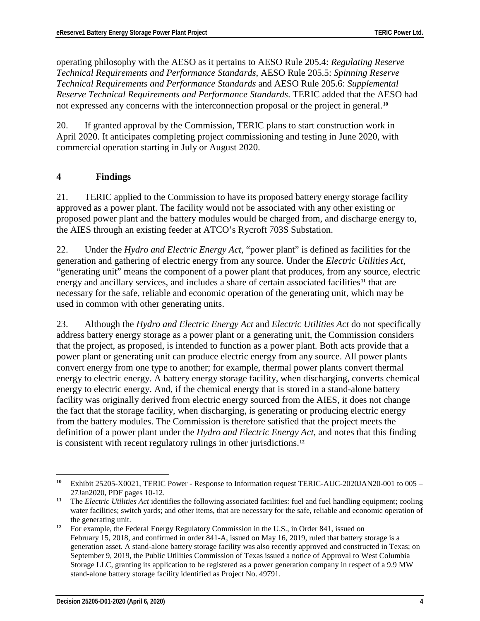operating philosophy with the AESO as it pertains to AESO Rule 205.4: *Regulating Reserve Technical Requirements and Performance Standards*, AESO Rule 205.5: *Spinning Reserve Technical Requirements and Performance Standards* and AESO Rule 205.6: *Supplemental Reserve Technical Requirements and Performance Standards*. TERIC added that the AESO had not expressed any concerns with the interconnection proposal or the project in general.**[10](#page-5-0)**

20. If granted approval by the Commission, TERIC plans to start construction work in April 2020. It anticipates completing project commissioning and testing in June 2020, with commercial operation starting in July or August 2020.

#### **4 Findings**

21. TERIC applied to the Commission to have its proposed battery energy storage facility approved as a power plant. The facility would not be associated with any other existing or proposed power plant and the battery modules would be charged from, and discharge energy to, the AIES through an existing feeder at ATCO's Rycroft 703S Substation.

22. Under the *Hydro and Electric Energy Act*, "power plant" is defined as facilities for the generation and gathering of electric energy from any source. Under the *Electric Utilities Act*, "generating unit" means the component of a power plant that produces, from any source, electric energy and ancillary services, and includes a share of certain associated facilities<sup>[11](#page-5-1)</sup> that are necessary for the safe, reliable and economic operation of the generating unit, which may be used in common with other generating units.

23. Although the *Hydro and Electric Energy Act* and *Electric Utilities Act* do not specifically address battery energy storage as a power plant or a generating unit, the Commission considers that the project, as proposed, is intended to function as a power plant. Both acts provide that a power plant or generating unit can produce electric energy from any source. All power plants convert energy from one type to another; for example, thermal power plants convert thermal energy to electric energy. A battery energy storage facility, when discharging, converts chemical energy to electric energy. And, if the chemical energy that is stored in a stand-alone battery facility was originally derived from electric energy sourced from the AIES, it does not change the fact that the storage facility, when discharging, is generating or producing electric energy from the battery modules. The Commission is therefore satisfied that the project meets the definition of a power plant under the *Hydro and Electric Energy Act*, and notes that this finding is consistent with recent regulatory rulings in other jurisdictions.**[12](#page-5-2)**

<span id="page-5-0"></span> $\overline{a}$ **<sup>10</sup>** Exhibit 25205-X0021, TERIC Power - Response to Information request TERIC-AUC-2020JAN20-001 to 005 – 27Jan2020, PDF pages 10-12.

<span id="page-5-1"></span>**<sup>11</sup>** The *Electric Utilities Act* identifies the following associated facilities: fuel and fuel handling equipment; cooling water facilities; switch yards; and other items, that are necessary for the safe, reliable and economic operation of the generating unit.

<span id="page-5-2"></span>**<sup>12</sup>** For example, the Federal Energy Regulatory Commission in the U.S., in Order 841, issued on February 15, 2018, and confirmed in order 841-A, issued on May 16, 2019, ruled that battery storage is a generation asset. A stand-alone battery storage facility was also recently approved and constructed in Texas; on September 9, 2019, the Public Utilities Commission of Texas issued a notice of Approval to West Columbia Storage LLC, granting its application to be registered as a power generation company in respect of a 9.9 MW stand-alone battery storage facility identified as Project No. 49791.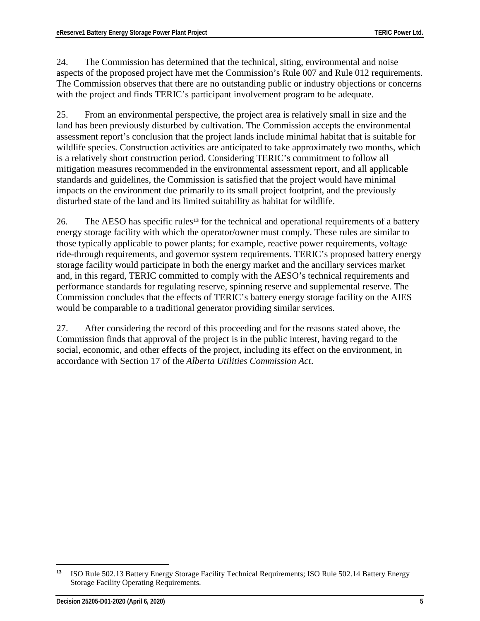24. The Commission has determined that the technical, siting, environmental and noise aspects of the proposed project have met the Commission's Rule 007 and Rule 012 requirements. The Commission observes that there are no outstanding public or industry objections or concerns with the project and finds TERIC's participant involvement program to be adequate.

25. From an environmental perspective, the project area is relatively small in size and the land has been previously disturbed by cultivation. The Commission accepts the environmental assessment report's conclusion that the project lands include minimal habitat that is suitable for wildlife species. Construction activities are anticipated to take approximately two months, which is a relatively short construction period. Considering TERIC's commitment to follow all mitigation measures recommended in the environmental assessment report, and all applicable standards and guidelines, the Commission is satisfied that the project would have minimal impacts on the environment due primarily to its small project footprint, and the previously disturbed state of the land and its limited suitability as habitat for wildlife.

26. The AESO has specific rules**[13](#page-6-0)** for the technical and operational requirements of a battery energy storage facility with which the operator/owner must comply. These rules are similar to those typically applicable to power plants; for example, reactive power requirements, voltage ride-through requirements, and governor system requirements. TERIC's proposed battery energy storage facility would participate in both the energy market and the ancillary services market and, in this regard, TERIC committed to comply with the AESO's technical requirements and performance standards for regulating reserve, spinning reserve and supplemental reserve. The Commission concludes that the effects of TERIC's battery energy storage facility on the AIES would be comparable to a traditional generator providing similar services.

27. After considering the record of this proceeding and for the reasons stated above, the Commission finds that approval of the project is in the public interest, having regard to the social, economic, and other effects of the project, including its effect on the environment, in accordance with Section 17 of the *Alberta Utilities Commission Act*.

<span id="page-6-0"></span> $13$ **<sup>13</sup>** ISO Rule 502.13 Battery Energy Storage Facility Technical Requirements; ISO Rule 502.14 Battery Energy Storage Facility Operating Requirements.